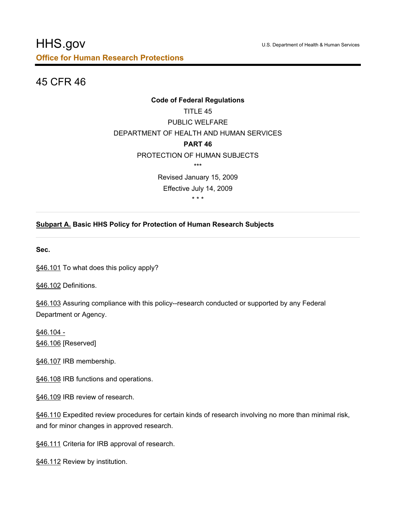# 45 CFR 46

# Code of Federal Regulations TITLE 45 PUBLIC WELFARE DEPARTMENT OF HEALTH AND HUMAN SERVICES PART 46 PROTECTION OF HUMAN SUBJECTS \*\*\*

Revised January 15, 2009 Effective July 14, 2009 \* \* \*

# Subpart A. Basic HHS Policy for Protection of Human Research Subjects

Sec.

§46.101 To what does this policy apply?

§46.102 Definitions.

§46.103 Assuring compliance with this policy--research conducted or supported by any Federal Department or Agency.

§46.104 - §46.106 [Reserved]

§46.107 IRB membership.

§46.108 IRB functions and operations.

§46.109 IRB review of research.

§46.110 Expedited review procedures for certain kinds of research involving no more than minimal risk, and for minor changes in approved research.

§46.111 Criteria for IRB approval of research.

§46.112 Review by institution.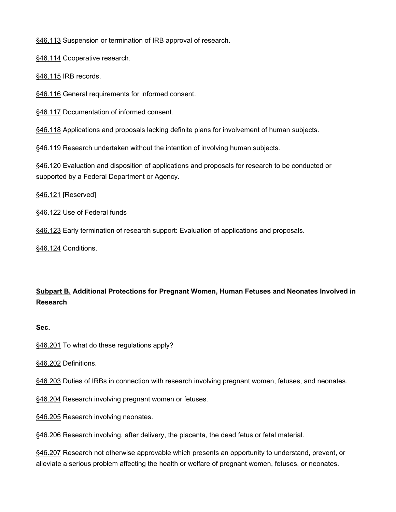§46.113 Suspension or termination of IRB approval of research.

§46.114 Cooperative research.

§46.115 IRB records.

§46.116 General requirements for informed consent.

§46.117 Documentation of informed consent.

§46.118 Applications and proposals lacking definite plans for involvement of human subjects.

§46.119 Research undertaken without the intention of involving human subjects.

§46.120 Evaluation and disposition of applications and proposals for research to be conducted or supported by a Federal Department or Agency.

§46.121 [Reserved]

§46.122 Use of Federal funds

§46.123 Early termination of research support: Evaluation of applications and proposals.

§46.124 Conditions.

# Subpart B. Additional Protections for Pregnant Women, Human Fetuses and Neonates Involved in Research

Sec.

§46.201 To what do these regulations apply?

§46.202 Definitions.

§46.203 Duties of IRBs in connection with research involving pregnant women, fetuses, and neonates.

§46.204 Research involving pregnant women or fetuses.

§46.205 Research involving neonates.

§46.206 Research involving, after delivery, the placenta, the dead fetus or fetal material.

§46.207 Research not otherwise approvable which presents an opportunity to understand, prevent, or alleviate a serious problem affecting the health or welfare of pregnant women, fetuses, or neonates.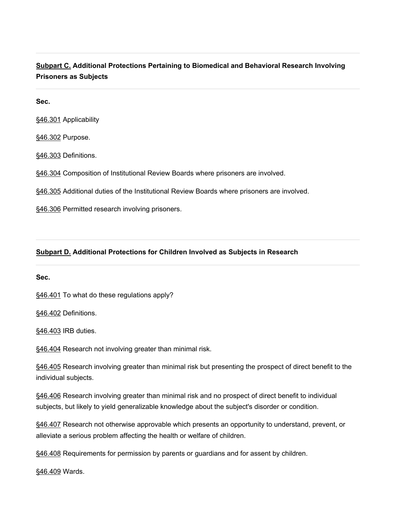# Subpart C. Additional Protections Pertaining to Biomedical and Behavioral Research Involving Prisoners as Subjects

Sec.

§46.301 Applicability

§46.302 Purpose.

§46.303 Definitions.

§46.304 Composition of Institutional Review Boards where prisoners are involved.

§46.305 Additional duties of the Institutional Review Boards where prisoners are involved.

§46.306 Permitted research involving prisoners.

### Subpart D. Additional Protections for Children Involved as Subjects in Research

Sec.

§46.401 To what do these regulations apply?

§46.402 Definitions.

§46.403 IRB duties.

§46.404 Research not involving greater than minimal risk.

§46.405 Research involving greater than minimal risk but presenting the prospect of direct benefit to the individual subjects.

§46.406 Research involving greater than minimal risk and no prospect of direct benefit to individual subjects, but likely to yield generalizable knowledge about the subject's disorder or condition.

§46.407 Research not otherwise approvable which presents an opportunity to understand, prevent, or alleviate a serious problem affecting the health or welfare of children.

§46.408 Requirements for permission by parents or guardians and for assent by children.

§46.409 Wards.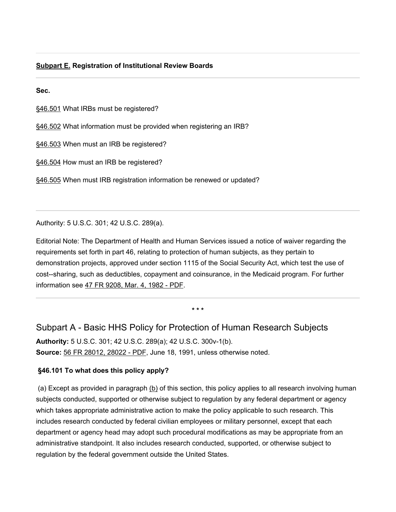#### Subpart E. Registration of Institutional Review Boards

Sec.

§46.501 What IRBs must be registered?

§46.502 What information must be provided when registering an IRB?

§46.503 When must an IRB be registered?

§46.504 How must an IRB be registered?

§46.505 When must IRB registration information be renewed or updated?

Authority: 5 U.S.C. 301; 42 U.S.C. 289(a).

Editorial Note: The Department of Health and Human Services issued a notice of waiver regarding the requirements set forth in part 46, relating to protection of human subjects, as they pertain to demonstration projects, approved under section 1115 of the Social Security Act, which test the use of cost--sharing, such as deductibles, copayment and coinsurance, in the Medicaid program. For further information see 47 FR 9208, Mar. 4, 1982 - PDF.

\* \* \*

Subpart A - Basic HHS Policy for Protection of Human Research Subjects Authority: 5 U.S.C. 301; 42 U.S.C. 289(a); 42 U.S.C. 300v-1(b). Source: 56 FR 28012, 28022 - PDF, June 18, 1991, unless otherwise noted.

### §46.101 To what does this policy apply?

(a) Except as provided in paragraph (b) of this section, this policy applies to all research involving human subjects conducted, supported or otherwise subject to regulation by any federal department or agency which takes appropriate administrative action to make the policy applicable to such research. This includes research conducted by federal civilian employees or military personnel, except that each department or agency head may adopt such procedural modifications as may be appropriate from an administrative standpoint. It also includes research conducted, supported, or otherwise subject to regulation by the federal government outside the United States.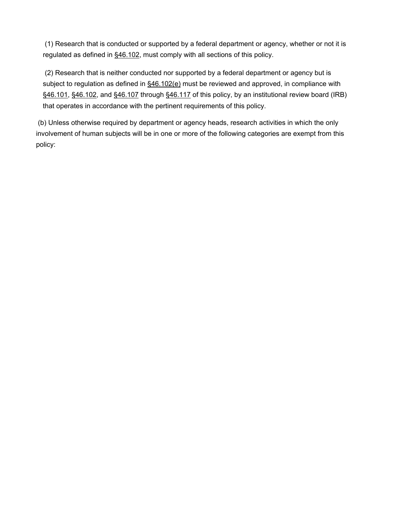(1) Research that is conducted or supported by a federal department or agency, whether or not it is regulated as defined in §46.102, must comply with all sections of this policy.

(2) Research that is neither conducted nor supported by a federal department or agency but is subject to regulation as defined in §46.102(e) must be reviewed and approved, in compliance with §46.101, §46.102, and §46.107 through §46.117 of this policy, by an institutional review board (IRB) that operates in accordance with the pertinent requirements of this policy.

(b) Unless otherwise required by department or agency heads, research activities in which the only involvement of human subjects will be in one or more of the following categories are exempt from this policy: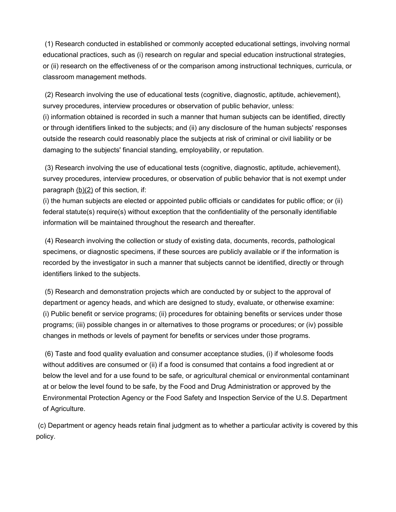(1) Research conducted in established or commonly accepted educational settings, involving normal educational practices, such as (i) research on regular and special education instructional strategies, or (ii) research on the effectiveness of or the comparison among instructional techniques, curricula, or classroom management methods.

(2) Research involving the use of educational tests (cognitive, diagnostic, aptitude, achievement), survey procedures, interview procedures or observation of public behavior, unless: (i) information obtained is recorded in such a manner that human subjects can be identified, directly or through identifiers linked to the subjects; and (ii) any disclosure of the human subjects' responses outside the research could reasonably place the subjects at risk of criminal or civil liability or be damaging to the subjects' financial standing, employability, or reputation.

(3) Research involving the use of educational tests (cognitive, diagnostic, aptitude, achievement), survey procedures, interview procedures, or observation of public behavior that is not exempt under paragraph  $(b)(2)$  of this section, if:

(i) the human subjects are elected or appointed public officials or candidates for public office; or (ii) federal statute(s) require(s) without exception that the confidentiality of the personally identifiable information will be maintained throughout the research and thereafter.

(4) Research involving the collection or study of existing data, documents, records, pathological specimens, or diagnostic specimens, if these sources are publicly available or if the information is recorded by the investigator in such a manner that subjects cannot be identified, directly or through identifiers linked to the subjects.

(5) Research and demonstration projects which are conducted by or subject to the approval of department or agency heads, and which are designed to study, evaluate, or otherwise examine: (i) Public benefit or service programs; (ii) procedures for obtaining benefits or services under those programs; (iii) possible changes in or alternatives to those programs or procedures; or (iv) possible changes in methods or levels of payment for benefits or services under those programs.

(6) Taste and food quality evaluation and consumer acceptance studies, (i) if wholesome foods without additives are consumed or (ii) if a food is consumed that contains a food ingredient at or below the level and for a use found to be safe, or agricultural chemical or environmental contaminant at or below the level found to be safe, by the Food and Drug Administration or approved by the Environmental Protection Agency or the Food Safety and Inspection Service of the U.S. Department of Agriculture.

(c) Department or agency heads retain final judgment as to whether a particular activity is covered by this policy.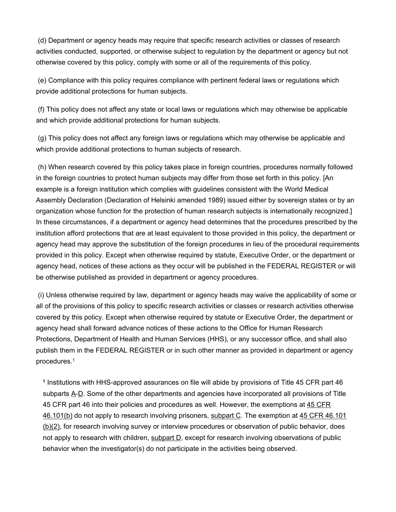(d) Department or agency heads may require that specific research activities or classes of research activities conducted, supported, or otherwise subject to regulation by the department or agency but not otherwise covered by this policy, comply with some or all of the requirements of this policy.

(e) Compliance with this policy requires compliance with pertinent federal laws or regulations which provide additional protections for human subjects.

(f) This policy does not affect any state or local laws or regulations which may otherwise be applicable and which provide additional protections for human subjects.

(g) This policy does not affect any foreign laws or regulations which may otherwise be applicable and which provide additional protections to human subjects of research.

(h) When research covered by this policy takes place in foreign countries, procedures normally followed in the foreign countries to protect human subjects may differ from those set forth in this policy. [An example is a foreign institution which complies with guidelines consistent with the World Medical Assembly Declaration (Declaration of Helsinki amended 1989) issued either by sovereign states or by an organization whose function for the protection of human research subjects is internationally recognized.] In these circumstances, if a department or agency head determines that the procedures prescribed by the institution afford protections that are at least equivalent to those provided in this policy, the department or agency head may approve the substitution of the foreign procedures in lieu of the procedural requirements provided in this policy. Except when otherwise required by statute, Executive Order, or the department or agency head, notices of these actions as they occur will be published in the FEDERAL REGISTER or will be otherwise published as provided in department or agency procedures.

(i) Unless otherwise required by law, department or agency heads may waive the applicability of some or all of the provisions of this policy to specific research activities or classes or research activities otherwise covered by this policy. Except when otherwise required by statute or Executive Order, the department or agency head shall forward advance notices of these actions to the Office for Human Research Protections, Department of Health and Human Services (HHS), or any successor office, and shall also publish them in the FEDERAL REGISTER or in such other manner as provided in department or agency procedures. 1

 $^{\text{1}}$  Institutions with HHS-approved assurances on file will abide by provisions of Title 45 CFR part 46 subparts A-D. Some of the other departments and agencies have incorporated all provisions of Title 45 CFR part 46 into their policies and procedures as well. However, the exemptions at 45 CFR 46.101(b) do not apply to research involving prisoners, subpart C. The exemption at 45 CFR 46.101 (b)(2), for research involving survey or interview procedures or observation of public behavior, does not apply to research with children, subpart D, except for research involving observations of public behavior when the investigator(s) do not participate in the activities being observed.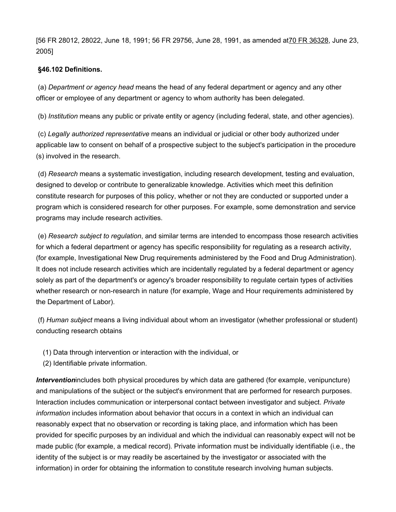[56 FR 28012, 28022, June 18, 1991; 56 FR 29756, June 28, 1991, as amended at70 FR 36328, June 23, 2005]

#### §46.102 Definitions.

(a) Department or agency head means the head of any federal department or agency and any other officer or employee of any department or agency to whom authority has been delegated.

(b) Institution means any public or private entity or agency (including federal, state, and other agencies).

(c) Legally authorized representative means an individual or judicial or other body authorized under applicable law to consent on behalf of a prospective subject to the subject's participation in the procedure (s) involved in the research.

(d) Research means a systematic investigation, including research development, testing and evaluation, designed to develop or contribute to generalizable knowledge. Activities which meet this definition constitute research for purposes of this policy, whether or not they are conducted or supported under a program which is considered research for other purposes. For example, some demonstration and service programs may include research activities.

(e) Research subject to regulation, and similar terms are intended to encompass those research activities for which a federal department or agency has specific responsibility for regulating as a research activity, (for example, Investigational New Drug requirements administered by the Food and Drug Administration). It does not include research activities which are incidentally regulated by a federal department or agency solely as part of the department's or agency's broader responsibility to regulate certain types of activities whether research or non-research in nature (for example, Wage and Hour requirements administered by the Department of Labor).

(f) Human subject means a living individual about whom an investigator (whether professional or student) conducting research obtains

- (1) Data through intervention or interaction with the individual, or
- (2) Identifiable private information.

Interventionincludes both physical procedures by which data are gathered (for example, venipuncture) and manipulations of the subject or the subject's environment that are performed for research purposes. Interaction includes communication or interpersonal contact between investigator and subject. Private information includes information about behavior that occurs in a context in which an individual can reasonably expect that no observation or recording is taking place, and information which has been provided for specific purposes by an individual and which the individual can reasonably expect will not be made public (for example, a medical record). Private information must be individually identifiable (i.e., the identity of the subject is or may readily be ascertained by the investigator or associated with the information) in order for obtaining the information to constitute research involving human subjects.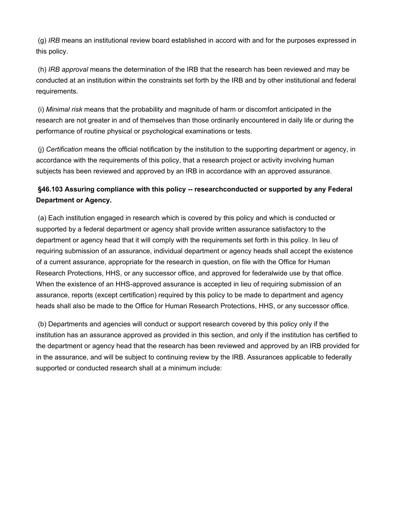$(q)$  IRB means an institutional review board established in accord with and for the purposes expressed in this policy.

(h) IRB approval means the determination of the IRB that the research has been reviewed and may be conducted at an institution within the constraints set forth by the IRB and by other institutional and federal requirements.

(i) Minimal risk means that the probability and magnitude of harm or discomfort anticipated in the research are not greater in and of themselves than those ordinarily encountered in daily life or during the performance of routine physical or psychological examinations or tests.

(j) Certification means the official notification by the institution to the supporting department or agency, in accordance with the requirements of this policy, that a research project or activity involving human subjects has been reviewed and approved by an IRB in accordance with an approved assurance.

# §46.103 Assuring compliance with this policy -- researchconducted or supported by any Federal Department or Agency.

(a) Each institution engaged in research which is covered by this policy and which is conducted or supported by a federal department or agency shall provide written assurance satisfactory to the department or agency head that it will comply with the requirements set forth in this policy. In lieu of requiring submission of an assurance, individual department or agency heads shall accept the existence of a current assurance, appropriate for the research in question, on file with the Office for Human Research Protections, HHS, or any successor office, and approved for federalwide use by that office. When the existence of an HHS-approved assurance is accepted in lieu of requiring submission of an assurance, reports (except certification) required by this policy to be made to department and agency heads shall also be made to the Office for Human Research Protections, HHS, or any successor office.

(b) Departments and agencies will conduct or support research covered by this policy only if the institution has an assurance approved as provided in this section, and only if the institution has certified to the department or agency head that the research has been reviewed and approved by an IRB provided for in the assurance, and will be subject to continuing review by the IRB. Assurances applicable to federally supported or conducted research shall at a minimum include: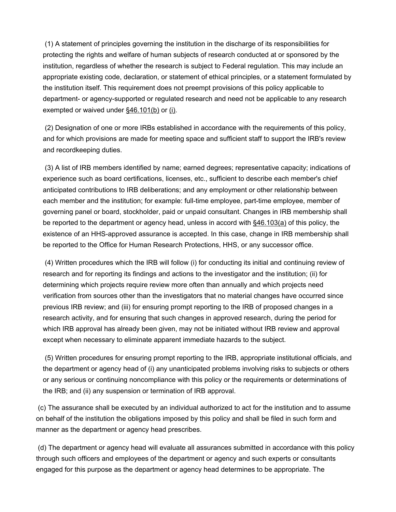(1) A statement of principles governing the institution in the discharge of its responsibilities for protecting the rights and welfare of human subjects of research conducted at or sponsored by the institution, regardless of whether the research is subject to Federal regulation. This may include an appropriate existing code, declaration, or statement of ethical principles, or a statement formulated by the institution itself. This requirement does not preempt provisions of this policy applicable to department- or agency-supported or regulated research and need not be applicable to any research exempted or waived under §46.101(b) or (i).

(2) Designation of one or more IRBs established in accordance with the requirements of this policy, and for which provisions are made for meeting space and sufficient staff to support the IRB's review and recordkeeping duties.

(3) A list of IRB members identified by name; earned degrees; representative capacity; indications of experience such as board certifications, licenses, etc., sufficient to describe each member's chief anticipated contributions to IRB deliberations; and any employment or other relationship between each member and the institution; for example: full-time employee, part-time employee, member of governing panel or board, stockholder, paid or unpaid consultant. Changes in IRB membership shall be reported to the department or agency head, unless in accord with §46.103(a) of this policy, the existence of an HHS-approved assurance is accepted. In this case, change in IRB membership shall be reported to the Office for Human Research Protections, HHS, or any successor office.

(4) Written procedures which the IRB will follow (i) for conducting its initial and continuing review of research and for reporting its findings and actions to the investigator and the institution; (ii) for determining which projects require review more often than annually and which projects need verification from sources other than the investigators that no material changes have occurred since previous IRB review; and (iii) for ensuring prompt reporting to the IRB of proposed changes in a research activity, and for ensuring that such changes in approved research, during the period for which IRB approval has already been given, may not be initiated without IRB review and approval except when necessary to eliminate apparent immediate hazards to the subject.

(5) Written procedures for ensuring prompt reporting to the IRB, appropriate institutional officials, and the department or agency head of (i) any unanticipated problems involving risks to subjects or others or any serious or continuing noncompliance with this policy or the requirements or determinations of the IRB; and (ii) any suspension or termination of IRB approval.

(c) The assurance shall be executed by an individual authorized to act for the institution and to assume on behalf of the institution the obligations imposed by this policy and shall be filed in such form and manner as the department or agency head prescribes.

(d) The department or agency head will evaluate all assurances submitted in accordance with this policy through such officers and employees of the department or agency and such experts or consultants engaged for this purpose as the department or agency head determines to be appropriate. The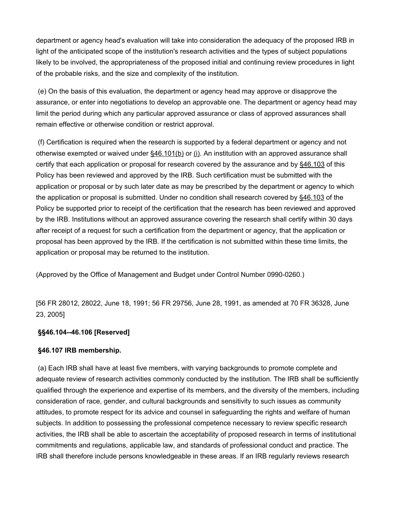department or agency head's evaluation will take into consideration the adequacy of the proposed IRB in light of the anticipated scope of the institution's research activities and the types of subject populations likely to be involved, the appropriateness of the proposed initial and continuing review procedures in light of the probable risks, and the size and complexity of the institution.

(e) On the basis of this evaluation, the department or agency head may approve or disapprove the assurance, or enter into negotiations to develop an approvable one. The department or agency head may limit the period during which any particular approved assurance or class of approved assurances shall remain effective or otherwise condition or restrict approval.

(f) Certification is required when the research is supported by a federal department or agency and not otherwise exempted or waived under §46.101(b) or (i). An institution with an approved assurance shall certify that each application or proposal for research covered by the assurance and by §46.103 of this Policy has been reviewed and approved by the IRB. Such certification must be submitted with the application or proposal or by such later date as may be prescribed by the department or agency to which the application or proposal is submitted. Under no condition shall research covered by §46.103 of the Policy be supported prior to receipt of the certification that the research has been reviewed and approved by the IRB. Institutions without an approved assurance covering the research shall certify within 30 days after receipt of a request for such a certification from the department or agency, that the application or proposal has been approved by the IRB. If the certification is not submitted within these time limits, the application or proposal may be returned to the institution.

(Approved by the Office of Management and Budget under Control Number 0990-0260.)

[56 FR 28012, 28022, June 18, 1991; 56 FR 29756, June 28, 1991, as amended at 70 FR 36328, June 23, 2005]

### §§46.104--46.106 [Reserved]

#### §46.107 IRB membership.

(a) Each IRB shall have at least five members, with varying backgrounds to promote complete and adequate review of research activities commonly conducted by the institution. The IRB shall be sufficiently qualified through the experience and expertise of its members, and the diversity of the members, including consideration of race, gender, and cultural backgrounds and sensitivity to such issues as community attitudes, to promote respect for its advice and counsel in safeguarding the rights and welfare of human subjects. In addition to possessing the professional competence necessary to review specific research activities, the IRB shall be able to ascertain the acceptability of proposed research in terms of institutional commitments and regulations, applicable law, and standards of professional conduct and practice. The IRB shall therefore include persons knowledgeable in these areas. If an IRB regularly reviews research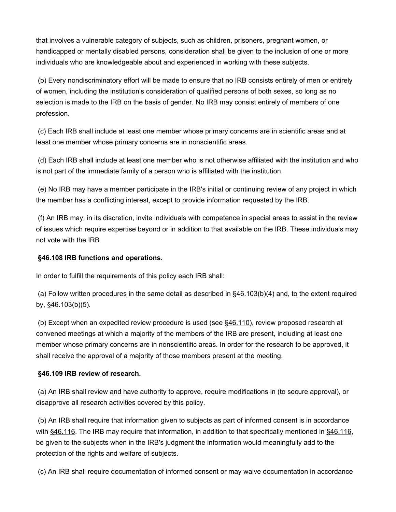that involves a vulnerable category of subjects, such as children, prisoners, pregnant women, or handicapped or mentally disabled persons, consideration shall be given to the inclusion of one or more individuals who are knowledgeable about and experienced in working with these subjects.

(b) Every nondiscriminatory effort will be made to ensure that no IRB consists entirely of men or entirely of women, including the institution's consideration of qualified persons of both sexes, so long as no selection is made to the IRB on the basis of gender. No IRB may consist entirely of members of one profession.

(c) Each IRB shall include at least one member whose primary concerns are in scientific areas and at least one member whose primary concerns are in nonscientific areas.

(d) Each IRB shall include at least one member who is not otherwise affiliated with the institution and who is not part of the immediate family of a person who is affiliated with the institution.

(e) No IRB may have a member participate in the IRB's initial or continuing review of any project in which the member has a conflicting interest, except to provide information requested by the IRB.

(f) An IRB may, in its discretion, invite individuals with competence in special areas to assist in the review of issues which require expertise beyond or in addition to that available on the IRB. These individuals may not vote with the IRB

### §46.108 IRB functions and operations.

In order to fulfill the requirements of this policy each IRB shall:

(a) Follow written procedures in the same detail as described in §46.103(b)(4) and, to the extent required by, §46.103(b)(5).

(b) Except when an expedited review procedure is used (see §46.110), review proposed research at convened meetings at which a majority of the members of the IRB are present, including at least one member whose primary concerns are in nonscientific areas. In order for the research to be approved, it shall receive the approval of a majority of those members present at the meeting.

#### §46.109 IRB review of research.

(a) An IRB shall review and have authority to approve, require modifications in (to secure approval), or disapprove all research activities covered by this policy.

(b) An IRB shall require that information given to subjects as part of informed consent is in accordance with §46.116. The IRB may require that information, in addition to that specifically mentioned in §46.116, be given to the subjects when in the IRB's judgment the information would meaningfully add to the protection of the rights and welfare of subjects.

(c) An IRB shall require documentation of informed consent or may waive documentation in accordance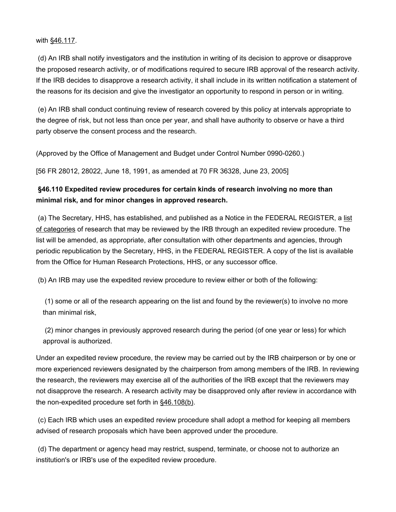with §46.117.

(d) An IRB shall notify investigators and the institution in writing of its decision to approve or disapprove the proposed research activity, or of modifications required to secure IRB approval of the research activity. If the IRB decides to disapprove a research activity, it shall include in its written notification a statement of the reasons for its decision and give the investigator an opportunity to respond in person or in writing.

(e) An IRB shall conduct continuing review of research covered by this policy at intervals appropriate to the degree of risk, but not less than once per year, and shall have authority to observe or have a third party observe the consent process and the research.

(Approved by the Office of Management and Budget under Control Number 0990-0260.)

[56 FR 28012, 28022, June 18, 1991, as amended at 70 FR 36328, June 23, 2005]

# §46.110 Expedited review procedures for certain kinds of research involving no more than minimal risk, and for minor changes in approved research.

(a) The Secretary, HHS, has established, and published as a Notice in the FEDERAL REGISTER, a list of categories of research that may be reviewed by the IRB through an expedited review procedure. The list will be amended, as appropriate, after consultation with other departments and agencies, through periodic republication by the Secretary, HHS, in the FEDERAL REGISTER. A copy of the list is available from the Office for Human Research Protections, HHS, or any successor office.

(b) An IRB may use the expedited review procedure to review either or both of the following:

(1) some or all of the research appearing on the list and found by the reviewer(s) to involve no more than minimal risk,

(2) minor changes in previously approved research during the period (of one year or less) for which approval is authorized.

Under an expedited review procedure, the review may be carried out by the IRB chairperson or by one or more experienced reviewers designated by the chairperson from among members of the IRB. In reviewing the research, the reviewers may exercise all of the authorities of the IRB except that the reviewers may not disapprove the research. A research activity may be disapproved only after review in accordance with the non-expedited procedure set forth in §46.108(b).

(c) Each IRB which uses an expedited review procedure shall adopt a method for keeping all members advised of research proposals which have been approved under the procedure.

(d) The department or agency head may restrict, suspend, terminate, or choose not to authorize an institution's or IRB's use of the expedited review procedure.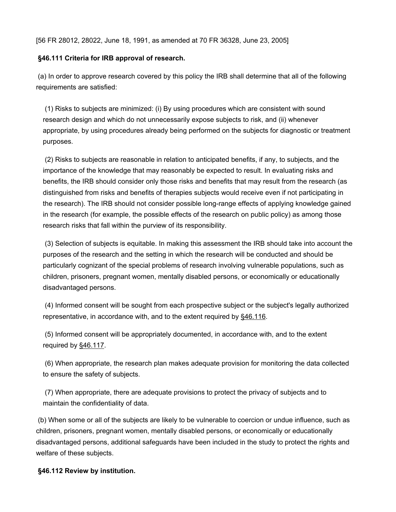[56 FR 28012, 28022, June 18, 1991, as amended at 70 FR 36328, June 23, 2005]

#### §46.111 Criteria for IRB approval of research.

(a) In order to approve research covered by this policy the IRB shall determine that all of the following requirements are satisfied:

(1) Risks to subjects are minimized: (i) By using procedures which are consistent with sound research design and which do not unnecessarily expose subjects to risk, and (ii) whenever appropriate, by using procedures already being performed on the subjects for diagnostic or treatment purposes.

(2) Risks to subjects are reasonable in relation to anticipated benefits, if any, to subjects, and the importance of the knowledge that may reasonably be expected to result. In evaluating risks and benefits, the IRB should consider only those risks and benefits that may result from the research (as distinguished from risks and benefits of therapies subjects would receive even if not participating in the research). The IRB should not consider possible long-range effects of applying knowledge gained in the research (for example, the possible effects of the research on public policy) as among those research risks that fall within the purview of its responsibility.

(3) Selection of subjects is equitable. In making this assessment the IRB should take into account the purposes of the research and the setting in which the research will be conducted and should be particularly cognizant of the special problems of research involving vulnerable populations, such as children, prisoners, pregnant women, mentally disabled persons, or economically or educationally disadvantaged persons.

(4) Informed consent will be sought from each prospective subject or the subject's legally authorized representative, in accordance with, and to the extent required by §46.116.

(5) Informed consent will be appropriately documented, in accordance with, and to the extent required by §46.117.

(6) When appropriate, the research plan makes adequate provision for monitoring the data collected to ensure the safety of subjects.

(7) When appropriate, there are adequate provisions to protect the privacy of subjects and to maintain the confidentiality of data.

(b) When some or all of the subjects are likely to be vulnerable to coercion or undue influence, such as children, prisoners, pregnant women, mentally disabled persons, or economically or educationally disadvantaged persons, additional safeguards have been included in the study to protect the rights and welfare of these subjects.

#### §46.112 Review by institution.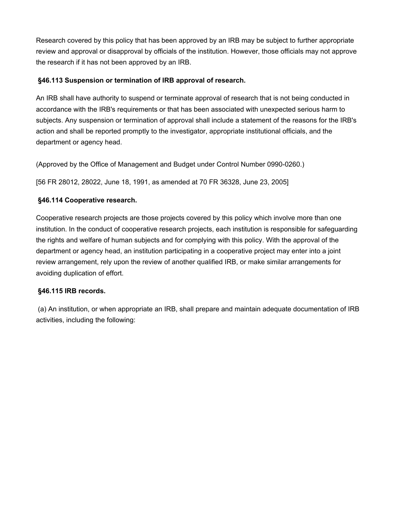Research covered by this policy that has been approved by an IRB may be subject to further appropriate review and approval or disapproval by officials of the institution. However, those officials may not approve the research if it has not been approved by an IRB.

# §46.113 Suspension or termination of IRB approval of research.

An IRB shall have authority to suspend or terminate approval of research that is not being conducted in accordance with the IRB's requirements or that has been associated with unexpected serious harm to subjects. Any suspension or termination of approval shall include a statement of the reasons for the IRB's action and shall be reported promptly to the investigator, appropriate institutional officials, and the department or agency head.

(Approved by the Office of Management and Budget under Control Number 0990-0260.)

[56 FR 28012, 28022, June 18, 1991, as amended at 70 FR 36328, June 23, 2005]

# §46.114 Cooperative research.

Cooperative research projects are those projects covered by this policy which involve more than one institution. In the conduct of cooperative research projects, each institution is responsible for safeguarding the rights and welfare of human subjects and for complying with this policy. With the approval of the department or agency head, an institution participating in a cooperative project may enter into a joint review arrangement, rely upon the review of another qualified IRB, or make similar arrangements for avoiding duplication of effort.

### §46.115 IRB records.

(a) An institution, or when appropriate an IRB, shall prepare and maintain adequate documentation of IRB activities, including the following: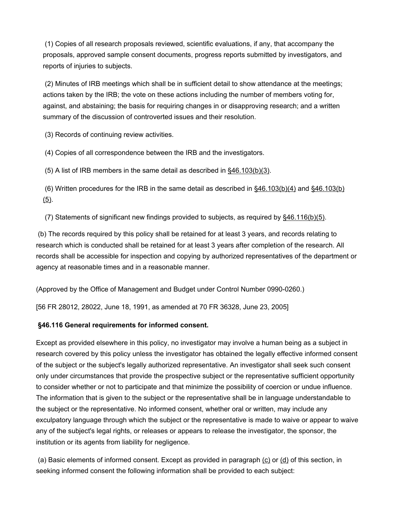(1) Copies of all research proposals reviewed, scientific evaluations, if any, that accompany the proposals, approved sample consent documents, progress reports submitted by investigators, and reports of injuries to subjects.

(2) Minutes of IRB meetings which shall be in sufficient detail to show attendance at the meetings; actions taken by the IRB; the vote on these actions including the number of members voting for, against, and abstaining; the basis for requiring changes in or disapproving research; and a written summary of the discussion of controverted issues and their resolution.

(3) Records of continuing review activities.

(4) Copies of all correspondence between the IRB and the investigators.

(5) A list of IRB members in the same detail as described in  $§46.103(b)(3)$ .

(6) Written procedures for the IRB in the same detail as described in  $§46.103(b)(4)$  and  $§46.103(b)$ (5).

(7) Statements of significant new findings provided to subjects, as required by §46.116(b)(5).

(b) The records required by this policy shall be retained for at least 3 years, and records relating to research which is conducted shall be retained for at least 3 years after completion of the research. All records shall be accessible for inspection and copying by authorized representatives of the department or agency at reasonable times and in a reasonable manner.

(Approved by the Office of Management and Budget under Control Number 0990-0260.)

[56 FR 28012, 28022, June 18, 1991, as amended at 70 FR 36328, June 23, 2005]

### §46.116 General requirements for informed consent.

Except as provided elsewhere in this policy, no investigator may involve a human being as a subject in research covered by this policy unless the investigator has obtained the legally effective informed consent of the subject or the subject's legally authorized representative. An investigator shall seek such consent only under circumstances that provide the prospective subject or the representative sufficient opportunity to consider whether or not to participate and that minimize the possibility of coercion or undue influence. The information that is given to the subject or the representative shall be in language understandable to the subject or the representative. No informed consent, whether oral or written, may include any exculpatory language through which the subject or the representative is made to waive or appear to waive any of the subject's legal rights, or releases or appears to release the investigator, the sponsor, the institution or its agents from liability for negligence.

(a) Basic elements of informed consent. Except as provided in paragraph (c) or (d) of this section, in seeking informed consent the following information shall be provided to each subject: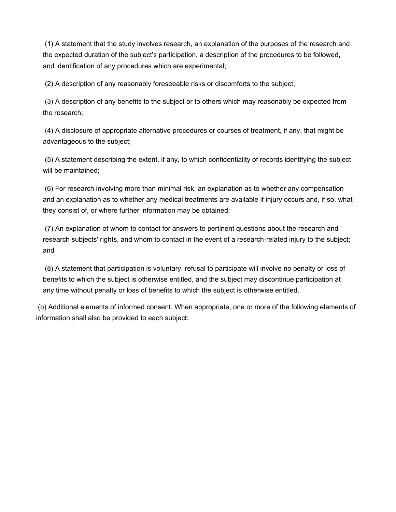(1) A statement that the study involves research, an explanation of the purposes of the research and the expected duration of the subject's participation, a description of the procedures to be followed, and identification of any procedures which are experimental;

(2) A description of any reasonably foreseeable risks or discomforts to the subject;

(3) A description of any benefits to the subject or to others which may reasonably be expected from the research;

(4) A disclosure of appropriate alternative procedures or courses of treatment, if any, that might be advantageous to the subject;

(5) A statement describing the extent, if any, to which confidentiality of records identifying the subject will be maintained;

(6) For research involving more than minimal risk, an explanation as to whether any compensation and an explanation as to whether any medical treatments are available if injury occurs and, if so, what they consist of, or where further information may be obtained;

(7) An explanation of whom to contact for answers to pertinent questions about the research and research subjects' rights, and whom to contact in the event of a research-related injury to the subject; and

(8) A statement that participation is voluntary, refusal to participate will involve no penalty or loss of benefits to which the subject is otherwise entitled, and the subject may discontinue participation at any time without penalty or loss of benefits to which the subject is otherwise entitled.

(b) Additional elements of informed consent. When appropriate, one or more of the following elements of information shall also be provided to each subject: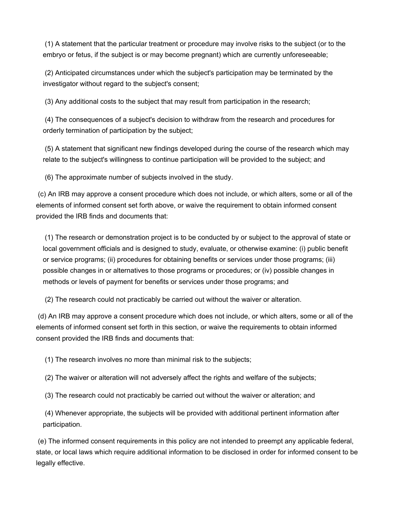(1) A statement that the particular treatment or procedure may involve risks to the subject (or to the embryo or fetus, if the subject is or may become pregnant) which are currently unforeseeable;

(2) Anticipated circumstances under which the subject's participation may be terminated by the investigator without regard to the subject's consent;

(3) Any additional costs to the subject that may result from participation in the research;

(4) The consequences of a subject's decision to withdraw from the research and procedures for orderly termination of participation by the subject;

(5) A statement that significant new findings developed during the course of the research which may relate to the subject's willingness to continue participation will be provided to the subject; and

(6) The approximate number of subjects involved in the study.

(c) An IRB may approve a consent procedure which does not include, or which alters, some or all of the elements of informed consent set forth above, or waive the requirement to obtain informed consent provided the IRB finds and documents that:

(1) The research or demonstration project is to be conducted by or subject to the approval of state or local government officials and is designed to study, evaluate, or otherwise examine: (i) public benefit or service programs; (ii) procedures for obtaining benefits or services under those programs; (iii) possible changes in or alternatives to those programs or procedures; or (iv) possible changes in methods or levels of payment for benefits or services under those programs; and

(2) The research could not practicably be carried out without the waiver or alteration.

(d) An IRB may approve a consent procedure which does not include, or which alters, some or all of the elements of informed consent set forth in this section, or waive the requirements to obtain informed consent provided the IRB finds and documents that:

(1) The research involves no more than minimal risk to the subjects;

(2) The waiver or alteration will not adversely affect the rights and welfare of the subjects;

(3) The research could not practicably be carried out without the waiver or alteration; and

(4) Whenever appropriate, the subjects will be provided with additional pertinent information after participation.

(e) The informed consent requirements in this policy are not intended to preempt any applicable federal, state, or local laws which require additional information to be disclosed in order for informed consent to be legally effective.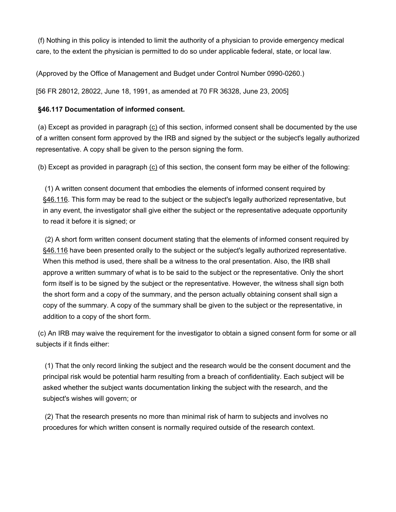(f) Nothing in this policy is intended to limit the authority of a physician to provide emergency medical care, to the extent the physician is permitted to do so under applicable federal, state, or local law.

(Approved by the Office of Management and Budget under Control Number 0990-0260.)

[56 FR 28012, 28022, June 18, 1991, as amended at 70 FR 36328, June 23, 2005]

# §46.117 Documentation of informed consent.

(a) Except as provided in paragraph  $(c)$  of this section, informed consent shall be documented by the use of a written consent form approved by the IRB and signed by the subject or the subject's legally authorized representative. A copy shall be given to the person signing the form.

(b) Except as provided in paragraph  $(c)$  of this section, the consent form may be either of the following:

(1) A written consent document that embodies the elements of informed consent required by §46.116. This form may be read to the subject or the subject's legally authorized representative, but in any event, the investigator shall give either the subject or the representative adequate opportunity to read it before it is signed; or

(2) A short form written consent document stating that the elements of informed consent required by §46.116 have been presented orally to the subject or the subject's legally authorized representative. When this method is used, there shall be a witness to the oral presentation. Also, the IRB shall approve a written summary of what is to be said to the subject or the representative. Only the short form itself is to be signed by the subject or the representative. However, the witness shall sign both the short form and a copy of the summary, and the person actually obtaining consent shall sign a copy of the summary. A copy of the summary shall be given to the subject or the representative, in addition to a copy of the short form.

(c) An IRB may waive the requirement for the investigator to obtain a signed consent form for some or all subjects if it finds either:

(1) That the only record linking the subject and the research would be the consent document and the principal risk would be potential harm resulting from a breach of confidentiality. Each subject will be asked whether the subject wants documentation linking the subject with the research, and the subject's wishes will govern; or

(2) That the research presents no more than minimal risk of harm to subjects and involves no procedures for which written consent is normally required outside of the research context.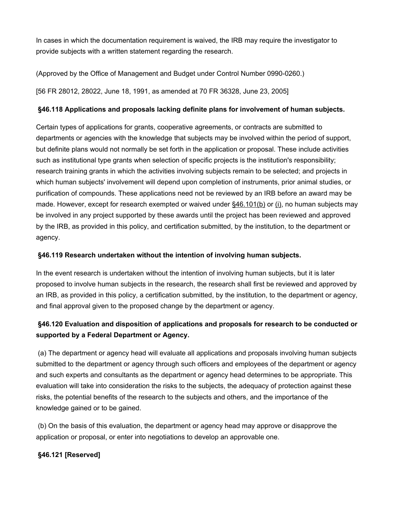In cases in which the documentation requirement is waived, the IRB may require the investigator to provide subjects with a written statement regarding the research.

(Approved by the Office of Management and Budget under Control Number 0990-0260.)

[56 FR 28012, 28022, June 18, 1991, as amended at 70 FR 36328, June 23, 2005]

### §46.118 Applications and proposals lacking definite plans for involvement of human subjects.

Certain types of applications for grants, cooperative agreements, or contracts are submitted to departments or agencies with the knowledge that subjects may be involved within the period of support, but definite plans would not normally be set forth in the application or proposal. These include activities such as institutional type grants when selection of specific projects is the institution's responsibility; research training grants in which the activities involving subjects remain to be selected; and projects in which human subjects' involvement will depend upon completion of instruments, prior animal studies, or purification of compounds. These applications need not be reviewed by an IRB before an award may be made. However, except for research exempted or waived under §46.101(b) or (i), no human subjects may be involved in any project supported by these awards until the project has been reviewed and approved by the IRB, as provided in this policy, and certification submitted, by the institution, to the department or agency.

# §46.119 Research undertaken without the intention of involving human subjects.

In the event research is undertaken without the intention of involving human subjects, but it is later proposed to involve human subjects in the research, the research shall first be reviewed and approved by an IRB, as provided in this policy, a certification submitted, by the institution, to the department or agency, and final approval given to the proposed change by the department or agency.

# §46.120 Evaluation and disposition of applications and proposals for research to be conducted or supported by a Federal Department or Agency.

(a) The department or agency head will evaluate all applications and proposals involving human subjects submitted to the department or agency through such officers and employees of the department or agency and such experts and consultants as the department or agency head determines to be appropriate. This evaluation will take into consideration the risks to the subjects, the adequacy of protection against these risks, the potential benefits of the research to the subjects and others, and the importance of the knowledge gained or to be gained.

(b) On the basis of this evaluation, the department or agency head may approve or disapprove the application or proposal, or enter into negotiations to develop an approvable one.

# §46.121 [Reserved]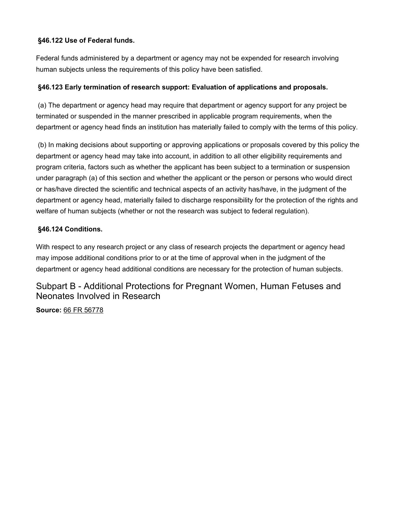# §46.122 Use of Federal funds.

Federal funds administered by a department or agency may not be expended for research involving human subjects unless the requirements of this policy have been satisfied.

# §46.123 Early termination of research support: Evaluation of applications and proposals.

(a) The department or agency head may require that department or agency support for any project be terminated or suspended in the manner prescribed in applicable program requirements, when the department or agency head finds an institution has materially failed to comply with the terms of this policy.

(b) In making decisions about supporting or approving applications or proposals covered by this policy the department or agency head may take into account, in addition to all other eligibility requirements and program criteria, factors such as whether the applicant has been subject to a termination or suspension under paragraph (a) of this section and whether the applicant or the person or persons who would direct or has/have directed the scientific and technical aspects of an activity has/have, in the judgment of the department or agency head, materially failed to discharge responsibility for the protection of the rights and welfare of human subjects (whether or not the research was subject to federal regulation).

# §46.124 Conditions.

With respect to any research project or any class of research projects the department or agency head may impose additional conditions prior to or at the time of approval when in the judgment of the department or agency head additional conditions are necessary for the protection of human subjects.

# Subpart B - Additional Protections for Pregnant Women, Human Fetuses and Neonates Involved in Research

Source: 66 FR 56778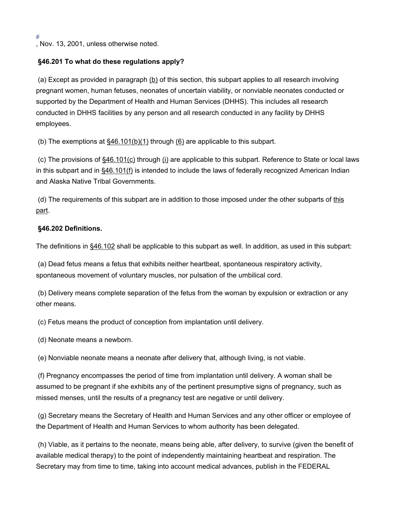, Nov. 13, 2001, unless otherwise noted.

rð.

# §46.201 To what do these regulations apply?

(a) Except as provided in paragraph (b) of this section, this subpart applies to all research involving pregnant women, human fetuses, neonates of uncertain viability, or nonviable neonates conducted or supported by the Department of Health and Human Services (DHHS). This includes all research conducted in DHHS facilities by any person and all research conducted in any facility by DHHS employees.

(b) The exemptions at  $§46.101(b)(1)$  through  $(6)$  are applicable to this subpart.

(c) The provisions of §46.101(c) through (i) are applicable to this subpart. Reference to State or local laws in this subpart and in  $§46.101(f)$  is intended to include the laws of federally recognized American Indian and Alaska Native Tribal Governments.

(d) The requirements of this subpart are in addition to those imposed under the other subparts of this part.

### §46.202 Definitions.

The definitions in §46.102 shall be applicable to this subpart as well. In addition, as used in this subpart:

(a) Dead fetus means a fetus that exhibits neither heartbeat, spontaneous respiratory activity, spontaneous movement of voluntary muscles, nor pulsation of the umbilical cord.

(b) Delivery means complete separation of the fetus from the woman by expulsion or extraction or any other means.

(c) Fetus means the product of conception from implantation until delivery.

(d) Neonate means a newborn.

(e) Nonviable neonate means a neonate after delivery that, although living, is not viable.

(f) Pregnancy encompasses the period of time from implantation until delivery. A woman shall be assumed to be pregnant if she exhibits any of the pertinent presumptive signs of pregnancy, such as missed menses, until the results of a pregnancy test are negative or until delivery.

(g) Secretary means the Secretary of Health and Human Services and any other officer or employee of the Department of Health and Human Services to whom authority has been delegated.

(h) Viable, as it pertains to the neonate, means being able, after delivery, to survive (given the benefit of available medical therapy) to the point of independently maintaining heartbeat and respiration. The Secretary may from time to time, taking into account medical advances, publish in the FEDERAL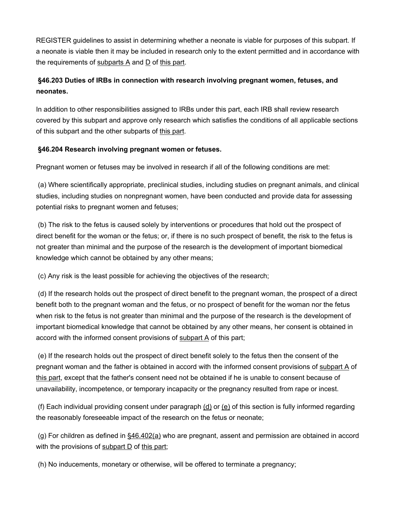REGISTER guidelines to assist in determining whether a neonate is viable for purposes of this subpart. If a neonate is viable then it may be included in research only to the extent permitted and in accordance with the requirements of subparts A and D of this part.

# §46.203 Duties of IRBs in connection with research involving pregnant women, fetuses, and neonates.

In addition to other responsibilities assigned to IRBs under this part, each IRB shall review research covered by this subpart and approve only research which satisfies the conditions of all applicable sections of this subpart and the other subparts of this part.

# §46.204 Research involving pregnant women or fetuses.

Pregnant women or fetuses may be involved in research if all of the following conditions are met:

(a) Where scientifically appropriate, preclinical studies, including studies on pregnant animals, and clinical studies, including studies on nonpregnant women, have been conducted and provide data for assessing potential risks to pregnant women and fetuses;

(b) The risk to the fetus is caused solely by interventions or procedures that hold out the prospect of direct benefit for the woman or the fetus; or, if there is no such prospect of benefit, the risk to the fetus is not greater than minimal and the purpose of the research is the development of important biomedical knowledge which cannot be obtained by any other means;

(c) Any risk is the least possible for achieving the objectives of the research;

(d) If the research holds out the prospect of direct benefit to the pregnant woman, the prospect of a direct benefit both to the pregnant woman and the fetus, or no prospect of benefit for the woman nor the fetus when risk to the fetus is not greater than minimal and the purpose of the research is the development of important biomedical knowledge that cannot be obtained by any other means, her consent is obtained in accord with the informed consent provisions of subpart A of this part;

(e) If the research holds out the prospect of direct benefit solely to the fetus then the consent of the pregnant woman and the father is obtained in accord with the informed consent provisions of subpart A of this part, except that the father's consent need not be obtained if he is unable to consent because of unavailability, incompetence, or temporary incapacity or the pregnancy resulted from rape or incest.

(f) Each individual providing consent under paragraph (d) or (e) of this section is fully informed regarding the reasonably foreseeable impact of the research on the fetus or neonate;

(g) For children as defined in  $§46.402(a)$  who are pregnant, assent and permission are obtained in accord with the provisions of subpart D of this part;

(h) No inducements, monetary or otherwise, will be offered to terminate a pregnancy;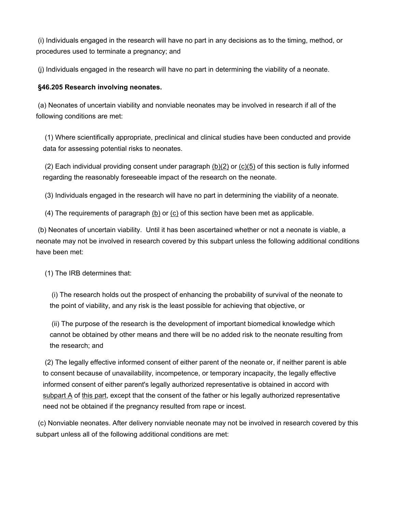(i) Individuals engaged in the research will have no part in any decisions as to the timing, method, or procedures used to terminate a pregnancy; and

(j) Individuals engaged in the research will have no part in determining the viability of a neonate.

### §46.205 Research involving neonates.

(a) Neonates of uncertain viability and nonviable neonates may be involved in research if all of the following conditions are met:

(1) Where scientifically appropriate, preclinical and clinical studies have been conducted and provide data for assessing potential risks to neonates.

(2) Each individual providing consent under paragraph  $(b)(2)$  or  $(c)(5)$  of this section is fully informed regarding the reasonably foreseeable impact of the research on the neonate.

(3) Individuals engaged in the research will have no part in determining the viability of a neonate.

(4) The requirements of paragraph  $(b)$  or  $(c)$  of this section have been met as applicable.

(b) Neonates of uncertain viability. Until it has been ascertained whether or not a neonate is viable, a neonate may not be involved in research covered by this subpart unless the following additional conditions have been met:

(1) The IRB determines that:

(i) The research holds out the prospect of enhancing the probability of survival of the neonate to the point of viability, and any risk is the least possible for achieving that objective, or

(ii) The purpose of the research is the development of important biomedical knowledge which cannot be obtained by other means and there will be no added risk to the neonate resulting from the research; and

(2) The legally effective informed consent of either parent of the neonate or, if neither parent is able to consent because of unavailability, incompetence, or temporary incapacity, the legally effective informed consent of either parent's legally authorized representative is obtained in accord with subpart A of this part, except that the consent of the father or his legally authorized representative need not be obtained if the pregnancy resulted from rape or incest.

(c) Nonviable neonates. After delivery nonviable neonate may not be involved in research covered by this subpart unless all of the following additional conditions are met: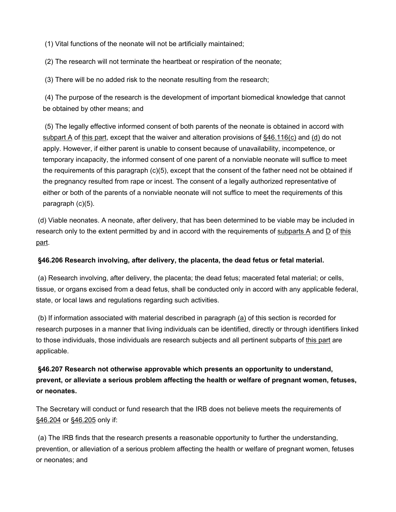(1) Vital functions of the neonate will not be artificially maintained;

(2) The research will not terminate the heartbeat or respiration of the neonate;

(3) There will be no added risk to the neonate resulting from the research;

(4) The purpose of the research is the development of important biomedical knowledge that cannot be obtained by other means; and

(5) The legally effective informed consent of both parents of the neonate is obtained in accord with subpart A of this part, except that the waiver and alteration provisions of §46.116(c) and (d) do not apply. However, if either parent is unable to consent because of unavailability, incompetence, or temporary incapacity, the informed consent of one parent of a nonviable neonate will suffice to meet the requirements of this paragraph (c)(5), except that the consent of the father need not be obtained if the pregnancy resulted from rape or incest. The consent of a legally authorized representative of either or both of the parents of a nonviable neonate will not suffice to meet the requirements of this paragraph (c)(5).

(d) Viable neonates. A neonate, after delivery, that has been determined to be viable may be included in research only to the extent permitted by and in accord with the requirements of subparts  $\overline{A}$  and  $\overline{D}$  of this part.

### §46.206 Research involving, after delivery, the placenta, the dead fetus or fetal material.

(a) Research involving, after delivery, the placenta; the dead fetus; macerated fetal material; or cells, tissue, or organs excised from a dead fetus, shall be conducted only in accord with any applicable federal, state, or local laws and regulations regarding such activities.

(b) If information associated with material described in paragraph  $(a)$  of this section is recorded for research purposes in a manner that living individuals can be identified, directly or through identifiers linked to those individuals, those individuals are research subjects and all pertinent subparts of this part are applicable.

# §46.207 Research not otherwise approvable which presents an opportunity to understand, prevent, or alleviate a serious problem affecting the health or welfare of pregnant women, fetuses, or neonates.

The Secretary will conduct or fund research that the IRB does not believe meets the requirements of §46.204 or §46.205 only if:

(a) The IRB finds that the research presents a reasonable opportunity to further the understanding, prevention, or alleviation of a serious problem affecting the health or welfare of pregnant women, fetuses or neonates; and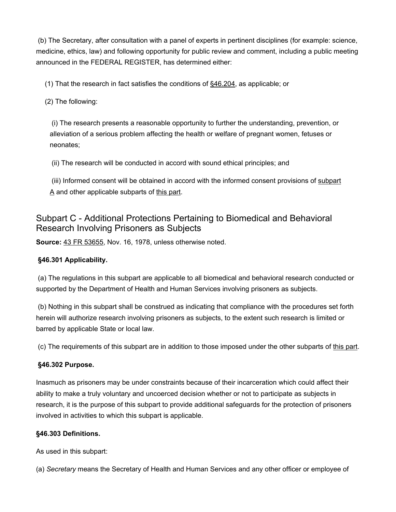(b) The Secretary, after consultation with a panel of experts in pertinent disciplines (for example: science, medicine, ethics, law) and following opportunity for public review and comment, including a public meeting announced in the FEDERAL REGISTER, has determined either:

(1) That the research in fact satisfies the conditions of §46.204, as applicable; or

# (2) The following:

(i) The research presents a reasonable opportunity to further the understanding, prevention, or alleviation of a serious problem affecting the health or welfare of pregnant women, fetuses or neonates;

(ii) The research will be conducted in accord with sound ethical principles; and

(iii) Informed consent will be obtained in accord with the informed consent provisions of subpart  $A$  and other applicable subparts of this part.

# Subpart C - Additional Protections Pertaining to Biomedical and Behavioral Research Involving Prisoners as Subjects

Source: 43 FR 53655, Nov. 16, 1978, unless otherwise noted.

# §46.301 Applicability.

(a) The regulations in this subpart are applicable to all biomedical and behavioral research conducted or supported by the Department of Health and Human Services involving prisoners as subjects.

(b) Nothing in this subpart shall be construed as indicating that compliance with the procedures set forth herein will authorize research involving prisoners as subjects, to the extent such research is limited or barred by applicable State or local law.

(c) The requirements of this subpart are in addition to those imposed under the other subparts of this part.

### §46.302 Purpose.

Inasmuch as prisoners may be under constraints because of their incarceration which could affect their ability to make a truly voluntary and uncoerced decision whether or not to participate as subjects in research, it is the purpose of this subpart to provide additional safeguards for the protection of prisoners involved in activities to which this subpart is applicable.

### §46.303 Definitions.

As used in this subpart:

(a) Secretary means the Secretary of Health and Human Services and any other officer or employee of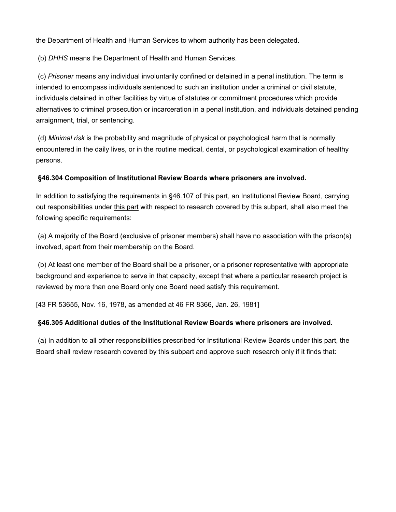the Department of Health and Human Services to whom authority has been delegated.

(b) DHHS means the Department of Health and Human Services.

(c) Prisoner means any individual involuntarily confined or detained in a penal institution. The term is intended to encompass individuals sentenced to such an institution under a criminal or civil statute, individuals detained in other facilities by virtue of statutes or commitment procedures which provide alternatives to criminal prosecution or incarceration in a penal institution, and individuals detained pending arraignment, trial, or sentencing.

(d) Minimal risk is the probability and magnitude of physical or psychological harm that is normally encountered in the daily lives, or in the routine medical, dental, or psychological examination of healthy persons.

# §46.304 Composition of Institutional Review Boards where prisoners are involved.

In addition to satisfying the requirements in §46.107 of this part, an Institutional Review Board, carrying out responsibilities under this part with respect to research covered by this subpart, shall also meet the following specific requirements:

(a) A majority of the Board (exclusive of prisoner members) shall have no association with the prison(s) involved, apart from their membership on the Board.

(b) At least one member of the Board shall be a prisoner, or a prisoner representative with appropriate background and experience to serve in that capacity, except that where a particular research project is reviewed by more than one Board only one Board need satisfy this requirement.

[43 FR 53655, Nov. 16, 1978, as amended at 46 FR 8366, Jan. 26, 1981]

### §46.305 Additional duties of the Institutional Review Boards where prisoners are involved.

(a) In addition to all other responsibilities prescribed for Institutional Review Boards under this part, the Board shall review research covered by this subpart and approve such research only if it finds that: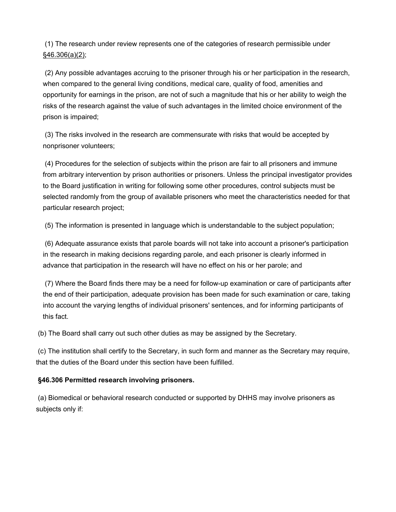(1) The research under review represents one of the categories of research permissible under §46.306(a)(2);

(2) Any possible advantages accruing to the prisoner through his or her participation in the research, when compared to the general living conditions, medical care, quality of food, amenities and opportunity for earnings in the prison, are not of such a magnitude that his or her ability to weigh the risks of the research against the value of such advantages in the limited choice environment of the prison is impaired;

(3) The risks involved in the research are commensurate with risks that would be accepted by nonprisoner volunteers;

(4) Procedures for the selection of subjects within the prison are fair to all prisoners and immune from arbitrary intervention by prison authorities or prisoners. Unless the principal investigator provides to the Board justification in writing for following some other procedures, control subjects must be selected randomly from the group of available prisoners who meet the characteristics needed for that particular research project;

(5) The information is presented in language which is understandable to the subject population;

(6) Adequate assurance exists that parole boards will not take into account a prisoner's participation in the research in making decisions regarding parole, and each prisoner is clearly informed in advance that participation in the research will have no effect on his or her parole; and

(7) Where the Board finds there may be a need for follow-up examination or care of participants after the end of their participation, adequate provision has been made for such examination or care, taking into account the varying lengths of individual prisoners' sentences, and for informing participants of this fact.

(b) The Board shall carry out such other duties as may be assigned by the Secretary.

(c) The institution shall certify to the Secretary, in such form and manner as the Secretary may require, that the duties of the Board under this section have been fulfilled.

# §46.306 Permitted research involving prisoners.

(a) Biomedical or behavioral research conducted or supported by DHHS may involve prisoners as subjects only if: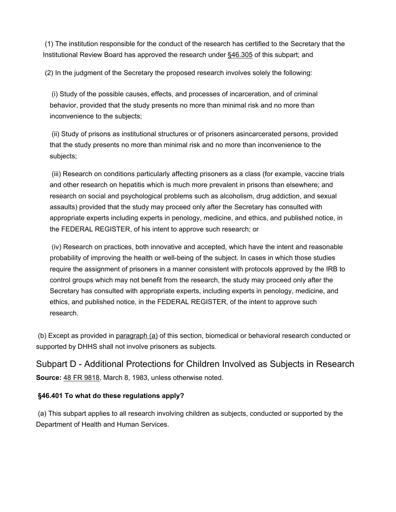(1) The institution responsible for the conduct of the research has certified to the Secretary that the Institutional Review Board has approved the research under §46.305 of this subpart; and

(2) In the judgment of the Secretary the proposed research involves solely the following:

(i) Study of the possible causes, effects, and processes of incarceration, and of criminal behavior, provided that the study presents no more than minimal risk and no more than inconvenience to the subjects;

(ii) Study of prisons as institutional structures or of prisoners asincarcerated persons, provided that the study presents no more than minimal risk and no more than inconvenience to the subjects;

(iii) Research on conditions particularly affecting prisoners as a class (for example, vaccine trials and other research on hepatitis which is much more prevalent in prisons than elsewhere; and research on social and psychological problems such as alcoholism, drug addiction, and sexual assaults) provided that the study may proceed only after the Secretary has consulted with appropriate experts including experts in penology, medicine, and ethics, and published notice, in the FEDERAL REGISTER, of his intent to approve such research; or

(iv) Research on practices, both innovative and accepted, which have the intent and reasonable probability of improving the health or well-being of the subject. In cases in which those studies require the assignment of prisoners in a manner consistent with protocols approved by the IRB to control groups which may not benefit from the research, the study may proceed only after the Secretary has consulted with appropriate experts, including experts in penology, medicine, and ethics, and published notice, in the FEDERAL REGISTER, of the intent to approve such research.

(b) Except as provided in paragraph (a) of this section, biomedical or behavioral research conducted or supported by DHHS shall not involve prisoners as subjects.

Subpart D - Additional Protections for Children Involved as Subjects in Research Source: 48 FR 9818, March 8, 1983, unless otherwise noted.

### §46.401 To what do these regulations apply?

(a) This subpart applies to all research involving children as subjects, conducted or supported by the Department of Health and Human Services.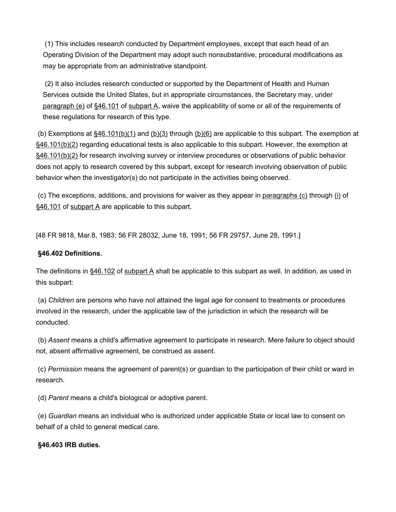(1) This includes research conducted by Department employees, except that each head of an Operating Division of the Department may adopt such nonsubstantive, procedural modifications as may be appropriate from an administrative standpoint.

(2) It also includes research conducted or supported by the Department of Health and Human Services outside the United States, but in appropriate circumstances, the Secretary may, under paragraph (e) of §46.101 of subpart A, waive the applicability of some or all of the requirements of these regulations for research of this type.

(b) Exemptions at  $§46.101(b)(1)$  and  $(b)(3)$  through  $(b)(6)$  are applicable to this subpart. The exemption at §46.101(b)(2) regarding educational tests is also applicable to this subpart. However, the exemption at §46.101(b)(2) for research involving survey or interview procedures or observations of public behavior does not apply to research covered by this subpart, except for research involving observation of public behavior when the investigator(s) do not participate in the activities being observed.

(c) The exceptions, additions, and provisions for waiver as they appear in paragraphs (c) through (i) of §46.101 of subpart A are applicable to this subpart.

[48 FR 9818, Mar.8, 1983; 56 FR 28032, June 18, 1991; 56 FR 29757, June 28, 1991.]

# §46.402 Definitions.

The definitions in §46.102 of subpart A shall be applicable to this subpart as well. In addition, as used in this subpart:

(a) Children are persons who have not attained the legal age for consent to treatments or procedures involved in the research, under the applicable law of the jurisdiction in which the research will be conducted.

(b) Assent means a child's affirmative agreement to participate in research. Mere failure to object should not, absent affirmative agreement, be construed as assent.

(c) Permission means the agreement of parent(s) or guardian to the participation of their child or ward in research.

(d) Parent means a child's biological or adoptive parent.

(e) Guardian means an individual who is authorized under applicable State or local law to consent on behalf of a child to general medical care.

# §46.403 IRB duties.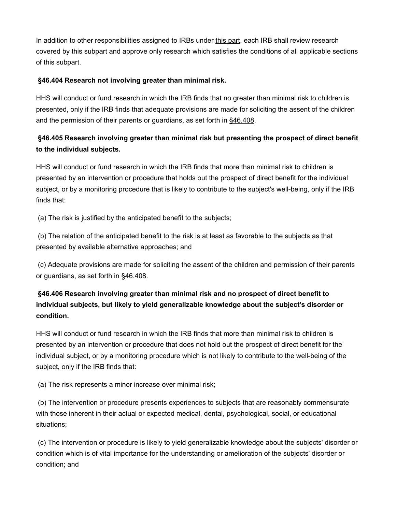In addition to other responsibilities assigned to IRBs under this part, each IRB shall review research covered by this subpart and approve only research which satisfies the conditions of all applicable sections of this subpart.

# §46.404 Research not involving greater than minimal risk.

HHS will conduct or fund research in which the IRB finds that no greater than minimal risk to children is presented, only if the IRB finds that adequate provisions are made for soliciting the assent of the children and the permission of their parents or guardians, as set forth in §46.408.

# §46.405 Research involving greater than minimal risk but presenting the prospect of direct benefit to the individual subjects.

HHS will conduct or fund research in which the IRB finds that more than minimal risk to children is presented by an intervention or procedure that holds out the prospect of direct benefit for the individual subject, or by a monitoring procedure that is likely to contribute to the subject's well-being, only if the IRB finds that:

(a) The risk is justified by the anticipated benefit to the subjects;

(b) The relation of the anticipated benefit to the risk is at least as favorable to the subjects as that presented by available alternative approaches; and

(c) Adequate provisions are made for soliciting the assent of the children and permission of their parents or guardians, as set forth in §46.408.

# §46.406 Research involving greater than minimal risk and no prospect of direct benefit to individual subjects, but likely to yield generalizable knowledge about the subject's disorder or condition.

HHS will conduct or fund research in which the IRB finds that more than minimal risk to children is presented by an intervention or procedure that does not hold out the prospect of direct benefit for the individual subject, or by a monitoring procedure which is not likely to contribute to the well-being of the subject, only if the IRB finds that:

(a) The risk represents a minor increase over minimal risk;

(b) The intervention or procedure presents experiences to subjects that are reasonably commensurate with those inherent in their actual or expected medical, dental, psychological, social, or educational situations;

(c) The intervention or procedure is likely to yield generalizable knowledge about the subjects' disorder or condition which is of vital importance for the understanding or amelioration of the subjects' disorder or condition; and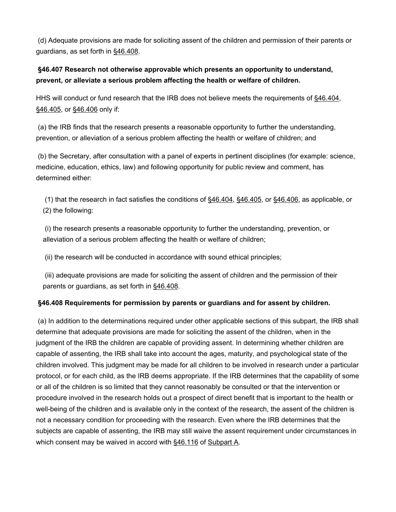(d) Adequate provisions are made for soliciting assent of the children and permission of their parents or guardians, as set forth in §46.408.

# §46.407 Research not otherwise approvable which presents an opportunity to understand, prevent, or alleviate a serious problem affecting the health or welfare of children.

HHS will conduct or fund research that the IRB does not believe meets the requirements of §46.404, §46.405, or §46.406 only if:

(a) the IRB finds that the research presents a reasonable opportunity to further the understanding, prevention, or alleviation of a serious problem affecting the health or welfare of children; and

(b) the Secretary, after consultation with a panel of experts in pertinent disciplines (for example: science, medicine, education, ethics, law) and following opportunity for public review and comment, has determined either:

(1) that the research in fact satisfies the conditions of  $§46.404$ ,  $§46.405$ , or  $§46.406$ , as applicable, or (2) the following:

(i) the research presents a reasonable opportunity to further the understanding, prevention, or alleviation of a serious problem affecting the health or welfare of children;

(ii) the research will be conducted in accordance with sound ethical principles;

(iii) adequate provisions are made for soliciting the assent of children and the permission of their parents or guardians, as set forth in §46.408.

# §46.408 Requirements for permission by parents or guardians and for assent by children.

(a) In addition to the determinations required under other applicable sections of this subpart, the IRB shall determine that adequate provisions are made for soliciting the assent of the children, when in the judgment of the IRB the children are capable of providing assent. In determining whether children are capable of assenting, the IRB shall take into account the ages, maturity, and psychological state of the children involved. This judgment may be made for all children to be involved in research under a particular protocol, or for each child, as the IRB deems appropriate. If the IRB determines that the capability of some or all of the children is so limited that they cannot reasonably be consulted or that the intervention or procedure involved in the research holds out a prospect of direct benefit that is important to the health or well-being of the children and is available only in the context of the research, the assent of the children is not a necessary condition for proceeding with the research. Even where the IRB determines that the subjects are capable of assenting, the IRB may still waive the assent requirement under circumstances in which consent may be waived in accord with §46.116 of Subpart A.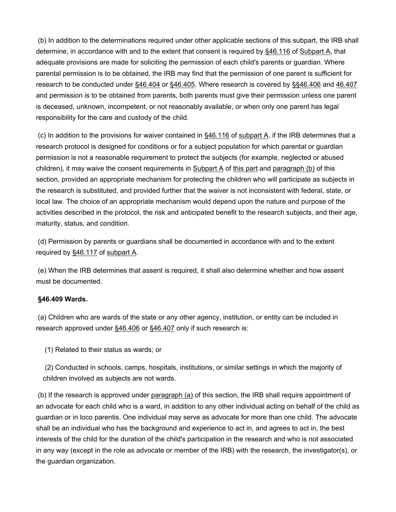(b) In addition to the determinations required under other applicable sections of this subpart, the IRB shall determine, in accordance with and to the extent that consent is required by §46.116 of Subpart A, that adequate provisions are made for soliciting the permission of each child's parents or guardian. Where parental permission is to be obtained, the IRB may find that the permission of one parent is sufficient for research to be conducted under §46.404 or §46.405. Where research is covered by §§46.406 and 46.407 and permission is to be obtained from parents, both parents must give their permission unless one parent is deceased, unknown, incompetent, or not reasonably available, or when only one parent has legal responsibility for the care and custody of the child.

(c) In addition to the provisions for waiver contained in §46.116 of subpart A, if the IRB determines that a research protocol is designed for conditions or for a subject population for which parental or guardian permission is not a reasonable requirement to protect the subjects (for example, neglected or abused children), it may waive the consent requirements in Subpart A of this part and paragraph (b) of this section, provided an appropriate mechanism for protecting the children who will participate as subjects in the research is substituted, and provided further that the waiver is not inconsistent with federal, state, or local law. The choice of an appropriate mechanism would depend upon the nature and purpose of the activities described in the protocol, the risk and anticipated benefit to the research subjects, and their age, maturity, status, and condition.

(d) Permission by parents or guardians shall be documented in accordance with and to the extent required by §46.117 of subpart A.

(e) When the IRB determines that assent is required, it shall also determine whether and how assent must be documented.

#### §46.409 Wards.

(a) Children who are wards of the state or any other agency, institution, or entity can be included in research approved under §46.406 or §46.407 only if such research is:

(1) Related to their status as wards; or

(2) Conducted in schools, camps, hospitals, institutions, or similar settings in which the majority of children involved as subjects are not wards.

(b) If the research is approved under paragraph (a) of this section, the IRB shall require appointment of an advocate for each child who is a ward, in addition to any other individual acting on behalf of the child as guardian or in loco parentis. One individual may serve as advocate for more than one child. The advocate shall be an individual who has the background and experience to act in, and agrees to act in, the best interests of the child for the duration of the child's participation in the research and who is not associated in any way (except in the role as advocate or member of the IRB) with the research, the investigator(s), or the guardian organization.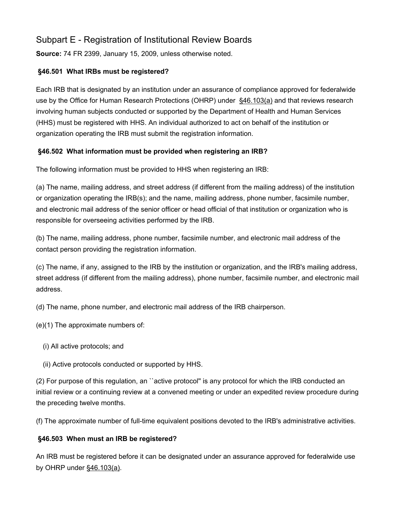# Subpart E - Registration of Institutional Review Boards

Source: 74 FR 2399, January 15, 2009, unless otherwise noted.

# §46.501 What IRBs must be registered?

Each IRB that is designated by an institution under an assurance of compliance approved for federalwide use by the Office for Human Research Protections (OHRP) under §46.103(a) and that reviews research involving human subjects conducted or supported by the Department of Health and Human Services (HHS) must be registered with HHS. An individual authorized to act on behalf of the institution or organization operating the IRB must submit the registration information.

# §46.502 What information must be provided when registering an IRB?

The following information must be provided to HHS when registering an IRB:

(a) The name, mailing address, and street address (if different from the mailing address) of the institution or organization operating the IRB(s); and the name, mailing address, phone number, facsimile number, and electronic mail address of the senior officer or head official of that institution or organization who is responsible for overseeing activities performed by the IRB.

(b) The name, mailing address, phone number, facsimile number, and electronic mail address of the contact person providing the registration information.

(c) The name, if any, assigned to the IRB by the institution or organization, and the IRB's mailing address, street address (if different from the mailing address), phone number, facsimile number, and electronic mail address.

(d) The name, phone number, and electronic mail address of the IRB chairperson.

- (e)(1) The approximate numbers of:
	- (i) All active protocols; and

(ii) Active protocols conducted or supported by HHS.

(2) For purpose of this regulation, an ``active protocol'' is any protocol for which the IRB conducted an initial review or a continuing review at a convened meeting or under an expedited review procedure during the preceding twelve months.

(f) The approximate number of full-time equivalent positions devoted to the IRB's administrative activities.

# §46.503 When must an IRB be registered?

An IRB must be registered before it can be designated under an assurance approved for federalwide use by OHRP under §46.103(a).